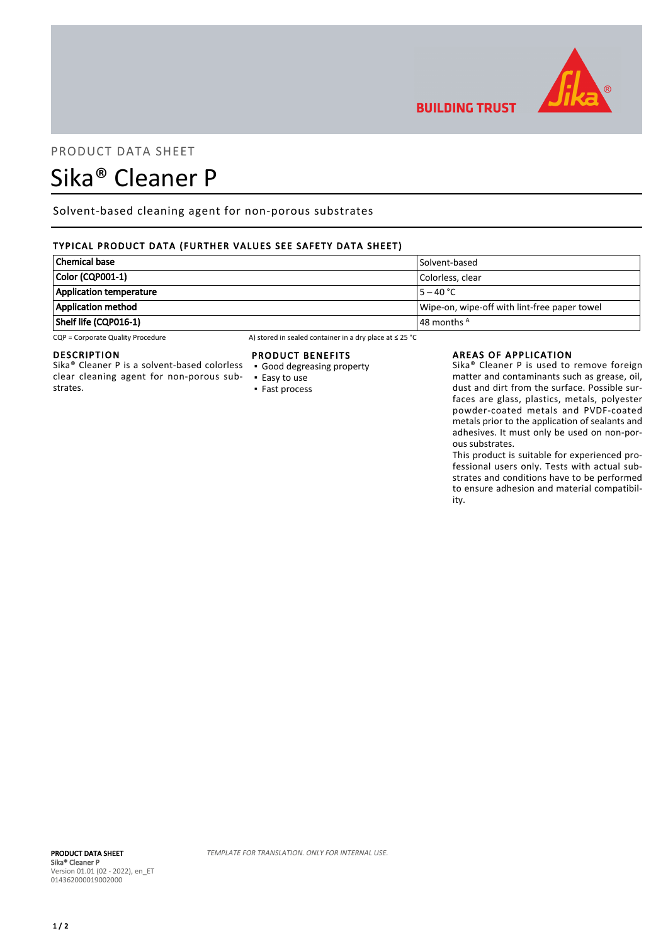

# PRODUCT DATA SHEET

# Sika® Cleaner P

Solvent-based cleaning agent for non-porous substrates

# TYPICAL PRODUCT DATA (FURTHER VALUES SEE SAFETY DATA SHEET)

| <b>Chemical base</b>           | Solvent-based                                |
|--------------------------------|----------------------------------------------|
| Color (CQP001-1)               | Colorless. clear                             |
| <b>Application temperature</b> | $15 - 40 °C$                                 |
| <b>Application method</b>      | Wipe-on, wipe-off with lint-free paper towel |
| Shelf life (CQP016-1)          | $\vert$ 48 months $^{\mathsf{A}}$            |

CQP = Corporate Quality Procedure A) stored in sealed container in a dry place at ≤ 25 °C

#### DESCRIPTION

Sika® Cleaner P is a solvent-based colorless clear cleaning agent for non-porous substrates.

### PRODUCT BENEFITS

- Good degreasing property
- Easy to use ▪ Fast process

#### AREAS OF APPLICATION

**BUILDING TRUST** 

Sika® Cleaner P is used to remove foreign matter and contaminants such as grease, oil, dust and dirt from the surface. Possible surfaces are glass, plastics, metals, polyester powder-coated metals and PVDF-coated metals prior to the application of sealants and adhesives. It must only be used on non-porous substrates.

This product is suitable for experienced professional users only. Tests with actual substrates and conditions have to be performed to ensure adhesion and material compatibility.

TEMPLATE FOR TRANSLATION. ONLY FOR INTERNAL USE.